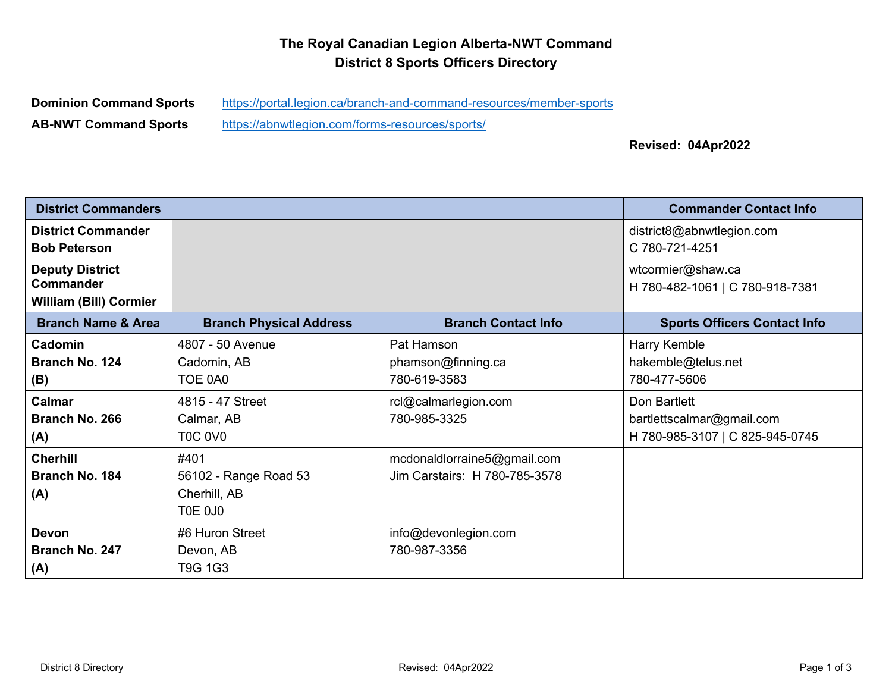## **The Royal Canadian Legion Alberta-NWT Command District 8 Sports Officers Directory**

**AB-NWT Command Sports** https://abnwtlegion.com/forms-resources/sports/

**Dominion Command Sports** https://portal.legion.ca/branch-and-command-resources/member-sports

**Revised: 04Apr2022**

| <b>District Commanders</b>                 |                                |                               | <b>Commander Contact Info</b>                        |
|--------------------------------------------|--------------------------------|-------------------------------|------------------------------------------------------|
| <b>District Commander</b>                  |                                |                               | district8@abnwtlegion.com                            |
| <b>Bob Peterson</b>                        |                                |                               | C 780-721-4251                                       |
| <b>Deputy District</b><br><b>Commander</b> |                                |                               | wtcormier@shaw.ca<br>H 780-482-1061   C 780-918-7381 |
| <b>William (Bill) Cormier</b>              |                                |                               |                                                      |
| <b>Branch Name &amp; Area</b>              | <b>Branch Physical Address</b> | <b>Branch Contact Info</b>    | <b>Sports Officers Contact Info</b>                  |
| Cadomin                                    | 4807 - 50 Avenue               | Pat Hamson                    | Harry Kemble                                         |
| Branch No. 124                             | Cadomin, AB                    | phamson@finning.ca            | hakemble@telus.net                                   |
| (B)                                        | TOE 0A0                        | 780-619-3583                  | 780-477-5606                                         |
| Calmar                                     | 4815 - 47 Street               | rcl@calmarlegion.com          | Don Bartlett                                         |
| Branch No. 266                             | Calmar, AB                     | 780-985-3325                  | bartlettscalmar@gmail.com                            |
| (A)                                        | <b>T0C 0V0</b>                 |                               | H 780-985-3107   C 825-945-0745                      |
| <b>Cherhill</b>                            | #401                           | mcdonaldlorraine5@gmail.com   |                                                      |
| Branch No. 184                             | 56102 - Range Road 53          | Jim Carstairs: H 780-785-3578 |                                                      |
| (A)                                        | Cherhill, AB                   |                               |                                                      |
|                                            | TOE 0J0                        |                               |                                                      |
| <b>Devon</b>                               | #6 Huron Street                | info@devonlegion.com          |                                                      |
| Branch No. 247                             | Devon, AB                      | 780-987-3356                  |                                                      |
| (A)                                        | T9G 1G3                        |                               |                                                      |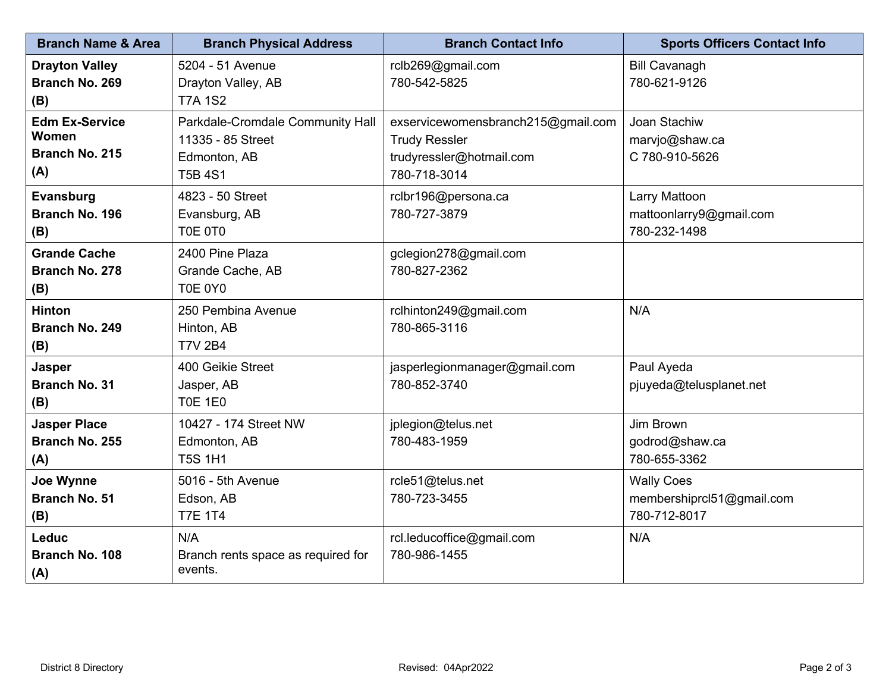| <b>Branch Name &amp; Area</b>                           | <b>Branch Physical Address</b>                                                          | <b>Branch Contact Info</b>                                                                             | <b>Sports Officers Contact Info</b>                            |
|---------------------------------------------------------|-----------------------------------------------------------------------------------------|--------------------------------------------------------------------------------------------------------|----------------------------------------------------------------|
| <b>Drayton Valley</b><br>Branch No. 269<br>(B)          | 5204 - 51 Avenue<br>Drayton Valley, AB<br><b>T7A 1S2</b>                                | rclb269@gmail.com<br>780-542-5825                                                                      | <b>Bill Cavanagh</b><br>780-621-9126                           |
| <b>Edm Ex-Service</b><br>Women<br>Branch No. 215<br>(A) | Parkdale-Cromdale Community Hall<br>11335 - 85 Street<br>Edmonton, AB<br><b>T5B 4S1</b> | exservicewomensbranch215@gmail.com<br><b>Trudy Ressler</b><br>trudyressler@hotmail.com<br>780-718-3014 | Joan Stachiw<br>marvjo@shaw.ca<br>C 780-910-5626               |
| Evansburg<br><b>Branch No. 196</b><br>(B)               | 4823 - 50 Street<br>Evansburg, AB<br>T0E 0T0                                            | rclbr196@persona.ca<br>780-727-3879                                                                    | Larry Mattoon<br>mattoonlarry9@gmail.com<br>780-232-1498       |
| <b>Grande Cache</b><br>Branch No. 278<br>(B)            | 2400 Pine Plaza<br>Grande Cache, AB<br>T0E 0Y0                                          | gclegion278@gmail.com<br>780-827-2362                                                                  |                                                                |
| <b>Hinton</b><br>Branch No. 249<br>(B)                  | 250 Pembina Avenue<br>Hinton, AB<br><b>T7V 2B4</b>                                      | rclhinton249@gmail.com<br>780-865-3116                                                                 | N/A                                                            |
| Jasper<br><b>Branch No. 31</b><br>(B)                   | 400 Geikie Street<br>Jasper, AB<br><b>T0E 1E0</b>                                       | jasperlegionmanager@gmail.com<br>780-852-3740                                                          | Paul Ayeda<br>pjuyeda@telusplanet.net                          |
| <b>Jasper Place</b><br>Branch No. 255<br>(A)            | 10427 - 174 Street NW<br>Edmonton, AB<br><b>T5S 1H1</b>                                 | jplegion@telus.net<br>780-483-1959                                                                     | Jim Brown<br>godrod@shaw.ca<br>780-655-3362                    |
| Joe Wynne<br><b>Branch No. 51</b><br>(B)                | 5016 - 5th Avenue<br>Edson, AB<br><b>T7E 1T4</b>                                        | rcle51@telus.net<br>780-723-3455                                                                       | <b>Wally Coes</b><br>membershiprcl51@gmail.com<br>780-712-8017 |
| Leduc<br>Branch No. 108<br>(A)                          | N/A<br>Branch rents space as required for<br>events.                                    | rcl.leducoffice@gmail.com<br>780-986-1455                                                              | N/A                                                            |